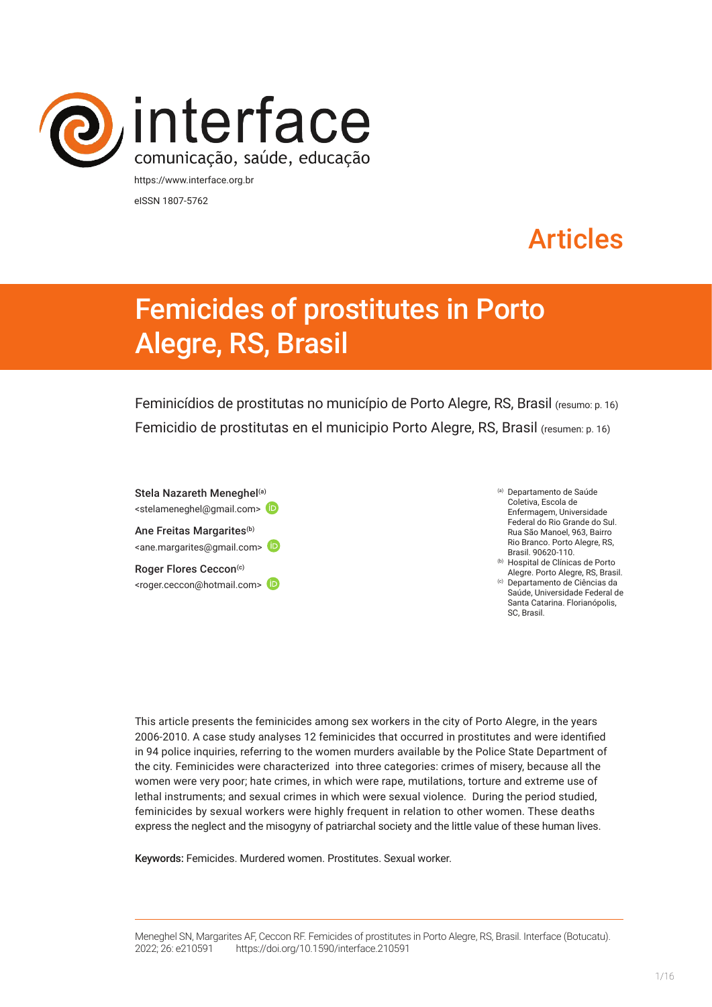

eISSN 1807-5762

# Articles

# Femicides of prostitutes in Porto Alegre, RS, Brasil

Feminicídios de prostitutas no município de Porto Alegre, RS, Brasil (resumo: p. 16) Femicidio de prostitutas en el municipio Porto Alegre, RS, Brasil (resumen: p. 16)

Stela Nazareth Meneghel<sup>(a)</sup> <stelameneghel@gmail.com> Ane Freitas Margarites<sup>(b)</sup> <ane.margarites@gmail.com> Roger Flores Ceccon<sup>(c)</sup> <roger.ceccon@hotmail.com> (a) Departamento de Saúde Coletiva, Escola de Enfermagem, Universidade Federal do Rio Grande do Sul. Rua São Manoel, 963, Bairro Rio Branco. Porto Alegre, RS, Brasil. 90620-110.

(b) Hospital de Clínicas de Porto Alegre. Porto Alegre, RS, Brasil. (c) Departamento de Ciências da

Saúde, Universidade Federal de Santa Catarina. Florianópolis, SC, Brasil.

This article presents the feminicides among sex workers in the city of Porto Alegre, in the years 2006-2010. A case study analyses 12 feminicides that occurred in prostitutes and were identified in 94 police inquiries, referring to the women murders available by the Police State Department of the city. Feminicides were characterized into three categories: crimes of misery, because all the women were very poor; hate crimes, in which were rape, mutilations, torture and extreme use of lethal instruments; and sexual crimes in which were sexual violence. During the period studied, feminicides by sexual workers were highly frequent in relation to other women. These deaths express the neglect and the misogyny of patriarchal society and the little value of these human lives.

Keywords: Femicides. Murdered women. Prostitutes. Sexual worker.

Meneghel SN, Margarites AF, Ceccon RF. Femicides of prostitutes in Porto Alegre, RS, Brasil. Interface (Botucatu). 2022; 26: e210591 [https://d](https://10.11606/S1518-787.201805200XXXX)oi.org/10.1590/interface.210591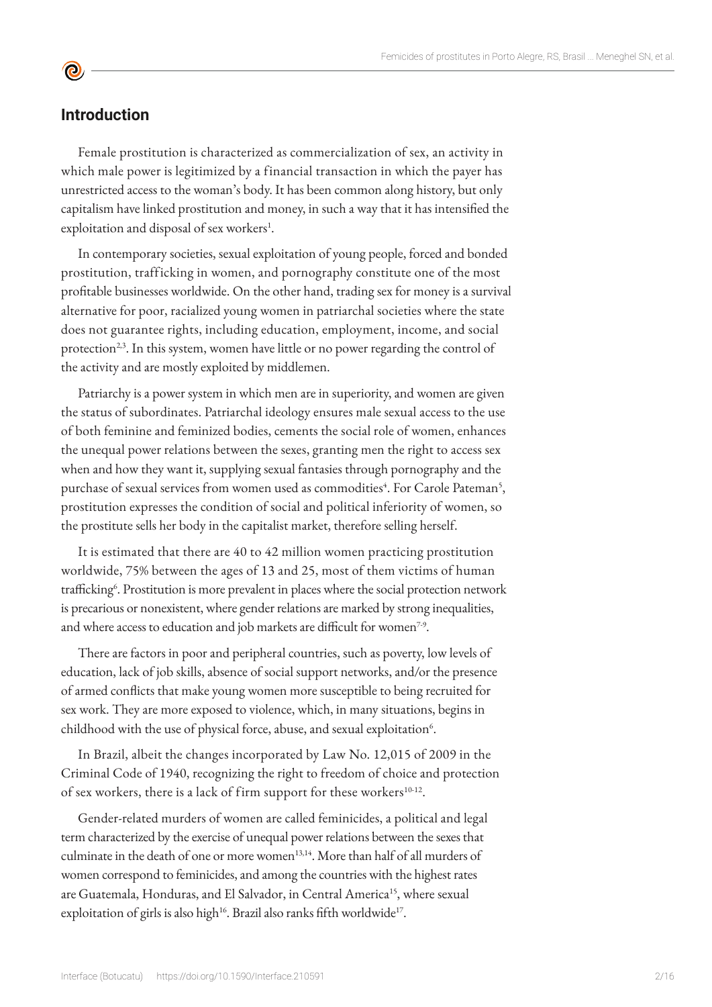# **Introduction**

 $\bullet$ 

Female prostitution is characterized as commercialization of sex, an activity in which male power is legitimized by a financial transaction in which the payer has unrestricted access to the woman's body. It has been common along history, but only capitalism have linked prostitution and money, in such a way that it has intensified the exploitation and disposal of sex workers<sup>1</sup>.

In contemporary societies, sexual exploitation of young people, forced and bonded prostitution, trafficking in women, and pornography constitute one of the most profitable businesses worldwide. On the other hand, trading sex for money is a survival alternative for poor, racialized young women in patriarchal societies where the state does not guarantee rights, including education, employment, income, and social protection<sup>2,3</sup>. In this system, women have little or no power regarding the control of the activity and are mostly exploited by middlemen.

Patriarchy is a power system in which men are in superiority, and women are given the status of subordinates. Patriarchal ideology ensures male sexual access to the use of both feminine and feminized bodies, cements the social role of women, enhances the unequal power relations between the sexes, granting men the right to access sex when and how they want it, supplying sexual fantasies through pornography and the purchase of sexual services from women used as commodities<sup>4</sup>. For Carole Pateman<sup>5</sup>, prostitution expresses the condition of social and political inferiority of women, so the prostitute sells her body in the capitalist market, therefore selling herself.

It is estimated that there are 40 to 42 million women practicing prostitution worldwide, 75% between the ages of 13 and 25, most of them victims of human trafficking<sup>6</sup>. Prostitution is more prevalent in places where the social protection network is precarious or nonexistent, where gender relations are marked by strong inequalities, and where access to education and job markets are difficult for women<sup>7-9</sup>.

There are factors in poor and peripheral countries, such as poverty, low levels of education, lack of job skills, absence of social support networks, and/or the presence of armed conflicts that make young women more susceptible to being recruited for sex work. They are more exposed to violence, which, in many situations, begins in childhood with the use of physical force, abuse, and sexual exploitation<sup>6</sup>.

In Brazil, albeit the changes incorporated by Law No. 12,015 of 2009 in the Criminal Code of 1940, recognizing the right to freedom of choice and protection of sex workers, there is a lack of firm support for these workers<sup>10-12</sup>.

Gender-related murders of women are called feminicides, a political and legal term characterized by the exercise of unequal power relations between the sexes that culminate in the death of one or more women<sup>13,14</sup>. More than half of all murders of women correspond to feminicides, and among the countries with the highest rates are Guatemala, Honduras, and El Salvador, in Central America<sup>15</sup>, where sexual exploitation of girls is also high<sup>16</sup>. Brazil also ranks fifth worldwide<sup>17</sup>.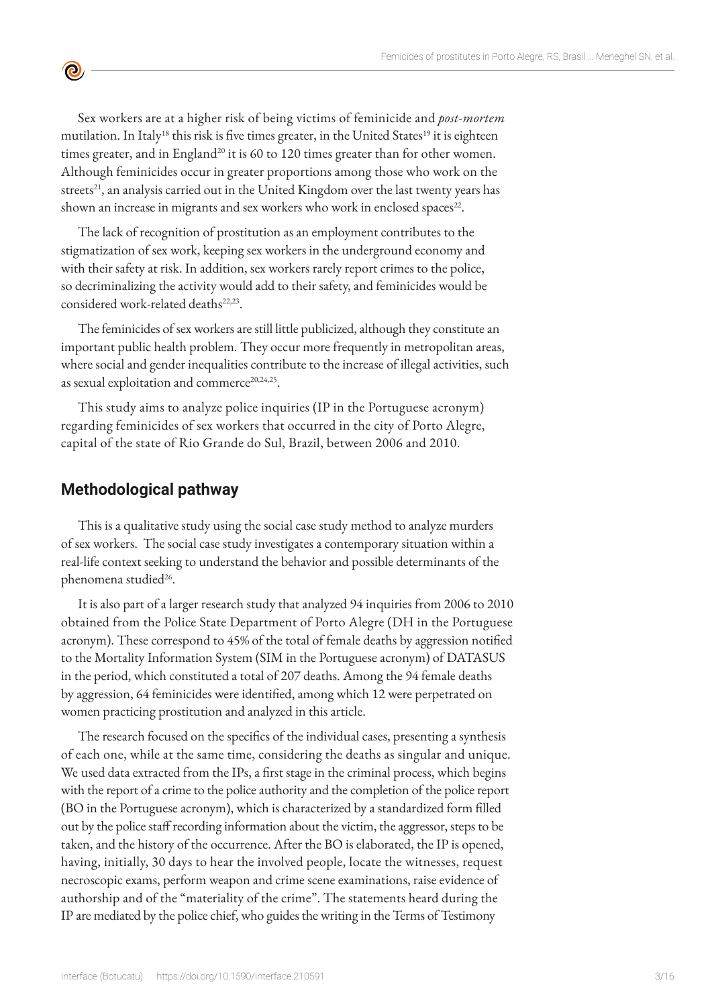Sex workers are at a higher risk of being victims of feminicide and *post-mortem* mutilation. In Italy<sup>18</sup> this risk is five times greater, in the United States<sup>19</sup> it is eighteen times greater, and in England<sup>20</sup> it is 60 to 120 times greater than for other women. Although feminicides occur in greater proportions among those who work on the streets<sup>21</sup>, an analysis carried out in the United Kingdom over the last twenty years has shown an increase in migrants and sex workers who work in enclosed spaces<sup>22</sup>.

The lack of recognition of prostitution as an employment contributes to the stigmatization of sex work, keeping sex workers in the underground economy and with their safety at risk. In addition, sex workers rarely report crimes to the police, so decriminalizing the activity would add to their safety, and feminicides would be considered work-related deaths<sup>22,23</sup>.

The feminicides of sex workers are still little publicized, although they constitute an important public health problem. They occur more frequently in metropolitan areas, where social and gender inequalities contribute to the increase of illegal activities, such as sexual exploitation and commerce<sup>20,24,25</sup>.

This study aims to analyze police inquiries (IP in the Portuguese acronym) regarding feminicides of sex workers that occurred in the city of Porto Alegre, capital of the state of Rio Grande do Sul, Brazil, between 2006 and 2010.

## **Methodological pathway**

 $\bullet$ 

This is a qualitative study using the social case study method to analyze murders of sex workers. The social case study investigates a contemporary situation within a real-life context seeking to understand the behavior and possible determinants of the phenomena studied<sup>26</sup>.

It is also part of a larger research study that analyzed 94 inquiries from 2006 to 2010 obtained from the Police State Department of Porto Alegre (DH in the Portuguese acronym). These correspond to 45% of the total of female deaths by aggression notified to the Mortality Information System (SIM in the Portuguese acronym) of DATASUS in the period, which constituted a total of 207 deaths. Among the 94 female deaths by aggression, 64 feminicides were identified, among which 12 were perpetrated on women practicing prostitution and analyzed in this article.

The research focused on the specifics of the individual cases, presenting a synthesis of each one, while at the same time, considering the deaths as singular and unique. We used data extracted from the IPs, a first stage in the criminal process, which begins with the report of a crime to the police authority and the completion of the police report (BO in the Portuguese acronym), which is characterized by a standardized form filled out by the police staff recording information about the victim, the aggressor, steps to be taken, and the history of the occurrence. After the BO is elaborated, the IP is opened, having, initially, 30 days to hear the involved people, locate the witnesses, request necroscopic exams, perform weapon and crime scene examinations, raise evidence of authorship and of the "materiality of the crime". The statements heard during the IP are mediated by the police chief, who guides the writing in the Terms of Testimony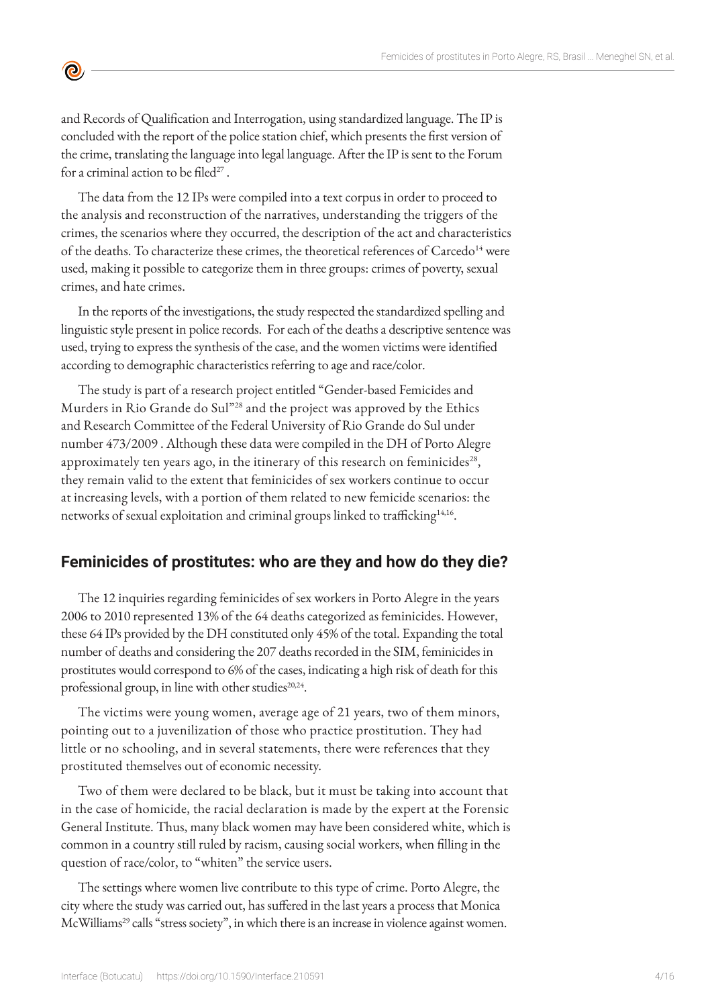and Records of Qualification and Interrogation, using standardized language. The IP is concluded with the report of the police station chief, which presents the first version of the crime, translating the language into legal language. After the IP is sent to the Forum for a criminal action to be filed $27$ .

 $\bullet$ 

The data from the 12 IPs were compiled into a text corpus in order to proceed to the analysis and reconstruction of the narratives, understanding the triggers of the crimes, the scenarios where they occurred, the description of the act and characteristics of the deaths. To characterize these crimes, the theoretical references of Carcedo<sup>14</sup> were used, making it possible to categorize them in three groups: crimes of poverty, sexual crimes, and hate crimes.

In the reports of the investigations, the study respected the standardized spelling and linguistic style present in police records. For each of the deaths a descriptive sentence was used, trying to express the synthesis of the case, and the women victims were identified according to demographic characteristics referring to age and race/color.

The study is part of a research project entitled "Gender-based Femicides and Murders in Rio Grande do Sul"28 and the project was approved by the Ethics and Research Committee of the Federal University of Rio Grande do Sul under number 473/2009 . Although these data were compiled in the DH of Porto Alegre approximately ten years ago, in the itinerary of this research on feminicides<sup>28</sup>, they remain valid to the extent that feminicides of sex workers continue to occur at increasing levels, with a portion of them related to new femicide scenarios: the networks of sexual exploitation and criminal groups linked to trafficking<sup>14,16</sup>.

# **Feminicides of prostitutes: who are they and how do they die?**

The 12 inquiries regarding feminicides of sex workers in Porto Alegre in the years 2006 to 2010 represented 13% of the 64 deaths categorized as feminicides. However, these 64 IPs provided by the DH constituted only 45% of the total. Expanding the total number of deaths and considering the 207 deaths recorded in the SIM, feminicides in prostitutes would correspond to 6% of the cases, indicating a high risk of death for this professional group, in line with other studies<sup>20,24</sup>.

The victims were young women, average age of 21 years, two of them minors, pointing out to a juvenilization of those who practice prostitution. They had little or no schooling, and in several statements, there were references that they prostituted themselves out of economic necessity.

Two of them were declared to be black, but it must be taking into account that in the case of homicide, the racial declaration is made by the expert at the Forensic General Institute. Thus, many black women may have been considered white, which is common in a country still ruled by racism, causing social workers, when filling in the question of race/color, to "whiten" the service users.

The settings where women live contribute to this type of crime. Porto Alegre, the city where the study was carried out, has suffered in the last years a process that Monica McWilliams<sup>29</sup> calls "stress society", in which there is an increase in violence against women.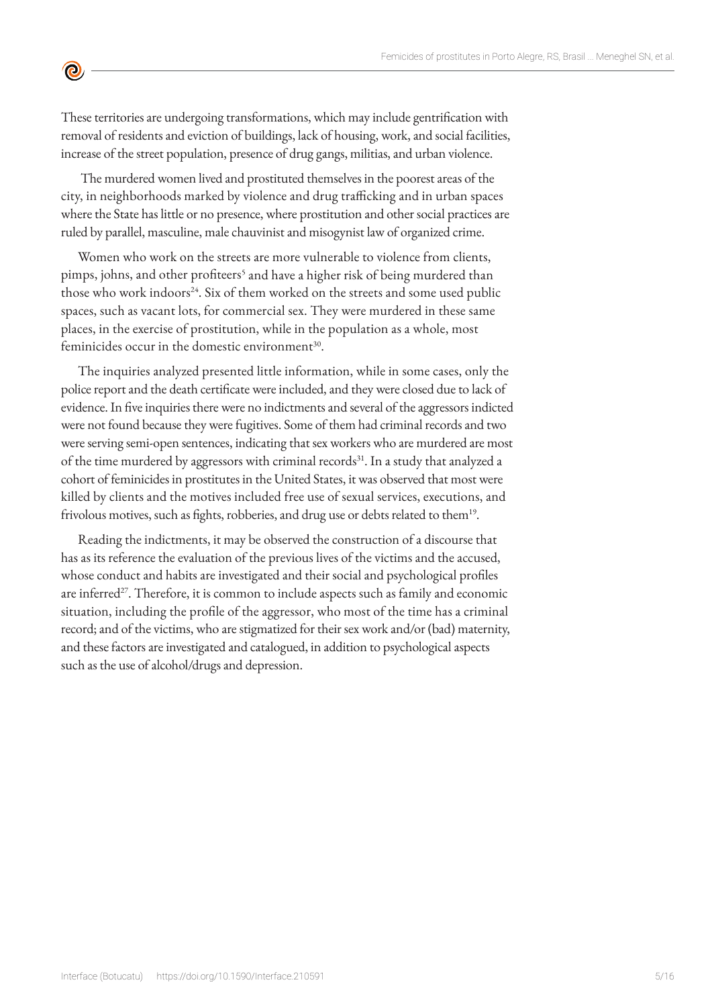These territories are undergoing transformations, which may include gentrification with removal of residents and eviction of buildings, lack of housing, work, and social facilities, increase of the street population, presence of drug gangs, militias, and urban violence.

 $\bullet$ 

 The murdered women lived and prostituted themselves in the poorest areas of the city, in neighborhoods marked by violence and drug trafficking and in urban spaces where the State has little or no presence, where prostitution and other social practices are ruled by parallel, masculine, male chauvinist and misogynist law of organized crime.

Women who work on the streets are more vulnerable to violence from clients, pimps, johns, and other profiteers<sup>5</sup> and have a higher risk of being murdered than those who work indoors<sup>24</sup>. Six of them worked on the streets and some used public spaces, such as vacant lots, for commercial sex. They were murdered in these same places, in the exercise of prostitution, while in the population as a whole, most feminicides occur in the domestic environment<sup>30</sup>.

The inquiries analyzed presented little information, while in some cases, only the police report and the death certificate were included, and they were closed due to lack of evidence. In five inquiries there were no indictments and several of the aggressors indicted were not found because they were fugitives. Some of them had criminal records and two were serving semi-open sentences, indicating that sex workers who are murdered are most of the time murdered by aggressors with criminal records<sup>31</sup>. In a study that analyzed a cohort of feminicides in prostitutes in the United States, it was observed that most were killed by clients and the motives included free use of sexual services, executions, and frivolous motives, such as fights, robberies, and drug use or debts related to them<sup>19</sup>.

Reading the indictments, it may be observed the construction of a discourse that has as its reference the evaluation of the previous lives of the victims and the accused, whose conduct and habits are investigated and their social and psychological profiles are inferred<sup>27</sup>. Therefore, it is common to include aspects such as family and economic situation, including the profile of the aggressor, who most of the time has a criminal record; and of the victims, who are stigmatized for their sex work and/or (bad) maternity, and these factors are investigated and catalogued, in addition to psychological aspects such as the use of alcohol/drugs and depression.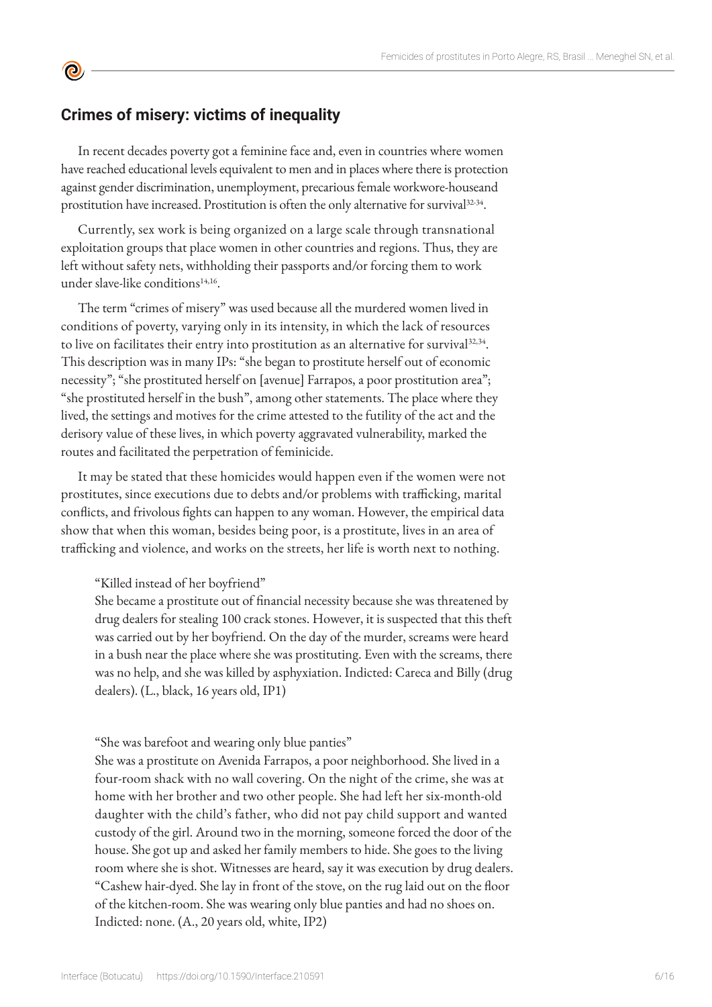# **Crimes of misery: victims of inequality**

 $\bullet$ 

In recent decades poverty got a feminine face and, even in countries where women have reached educational levels equivalent to men and in places where there is protection against gender discrimination, unemployment, precarious female workwore-houseand prostitution have increased. Prostitution is often the only alternative for survival<sup>32-34</sup>.

Currently, sex work is being organized on a large scale through transnational exploitation groups that place women in other countries and regions. Thus, they are left without safety nets, withholding their passports and/or forcing them to work under slave-like conditions<sup>14,16</sup>.

The term "crimes of misery" was used because all the murdered women lived in conditions of poverty, varying only in its intensity, in which the lack of resources to live on facilitates their entry into prostitution as an alternative for survival $32,34$ . This description was in many IPs: "she began to prostitute herself out of economic necessity"; "she prostituted herself on [avenue] Farrapos, a poor prostitution area"; "she prostituted herself in the bush", among other statements. The place where they lived, the settings and motives for the crime attested to the futility of the act and the derisory value of these lives, in which poverty aggravated vulnerability, marked the routes and facilitated the perpetration of feminicide.

It may be stated that these homicides would happen even if the women were not prostitutes, since executions due to debts and/or problems with trafficking, marital conflicts, and frivolous fights can happen to any woman. However, the empirical data show that when this woman, besides being poor, is a prostitute, lives in an area of trafficking and violence, and works on the streets, her life is worth next to nothing.

"Killed instead of her boyfriend"

She became a prostitute out of financial necessity because she was threatened by drug dealers for stealing 100 crack stones. However, it is suspected that this theft was carried out by her boyfriend. On the day of the murder, screams were heard in a bush near the place where she was prostituting. Even with the screams, there was no help, and she was killed by asphyxiation. Indicted: Careca and Billy (drug dealers). (L., black, 16 years old, IP1)

"She was barefoot and wearing only blue panties"

She was a prostitute on Avenida Farrapos, a poor neighborhood. She lived in a four-room shack with no wall covering. On the night of the crime, she was at home with her brother and two other people. She had left her six-month-old daughter with the child's father, who did not pay child support and wanted custody of the girl. Around two in the morning, someone forced the door of the house. She got up and asked her family members to hide. She goes to the living room where she is shot. Witnesses are heard, say it was execution by drug dealers. "Cashew hair-dyed. She lay in front of the stove, on the rug laid out on the floor of the kitchen-room. She was wearing only blue panties and had no shoes on. Indicted: none. (A., 20 years old, white, IP2)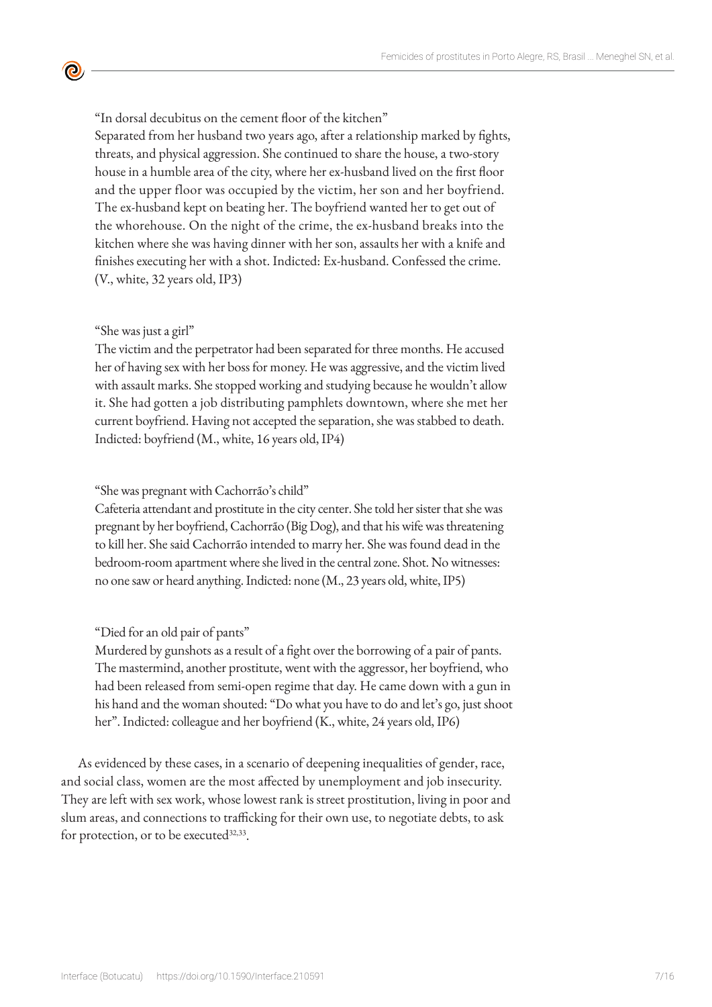"In dorsal decubitus on the cement floor of the kitchen" Separated from her husband two years ago, after a relationship marked by fights, threats, and physical aggression. She continued to share the house, a two-story house in a humble area of the city, where her ex-husband lived on the first floor and the upper floor was occupied by the victim, her son and her boyfriend. The ex-husband kept on beating her. The boyfriend wanted her to get out of the whorehouse. On the night of the crime, the ex-husband breaks into the kitchen where she was having dinner with her son, assaults her with a knife and finishes executing her with a shot. Indicted: Ex-husband. Confessed the crime. (V., white, 32 years old, IP3)

## "She was just a girl"

 $\bullet$ 

The victim and the perpetrator had been separated for three months. He accused her of having sex with her boss for money. He was aggressive, and the victim lived with assault marks. She stopped working and studying because he wouldn't allow it. She had gotten a job distributing pamphlets downtown, where she met her current boyfriend. Having not accepted the separation, she was stabbed to death. Indicted: boyfriend (M., white, 16 years old, IP4)

## "She was pregnant with Cachorrão's child"

Cafeteria attendant and prostitute in the city center. She told her sister that she was pregnant by her boyfriend, Cachorrão (Big Dog), and that his wife was threatening to kill her. She said Cachorrão intended to marry her. She was found dead in the bedroom-room apartment where she lived in the central zone. Shot. No witnesses: no one saw or heard anything. Indicted: none (M., 23 years old, white, IP5)

## "Died for an old pair of pants"

Murdered by gunshots as a result of a fight over the borrowing of a pair of pants. The mastermind, another prostitute, went with the aggressor, her boyfriend, who had been released from semi-open regime that day. He came down with a gun in his hand and the woman shouted: "Do what you have to do and let's go, just shoot her". Indicted: colleague and her boyfriend (K., white, 24 years old, IP6)

As evidenced by these cases, in a scenario of deepening inequalities of gender, race, and social class, women are the most affected by unemployment and job insecurity. They are left with sex work, whose lowest rank is street prostitution, living in poor and slum areas, and connections to trafficking for their own use, to negotiate debts, to ask for protection, or to be executed<sup>32,33</sup>.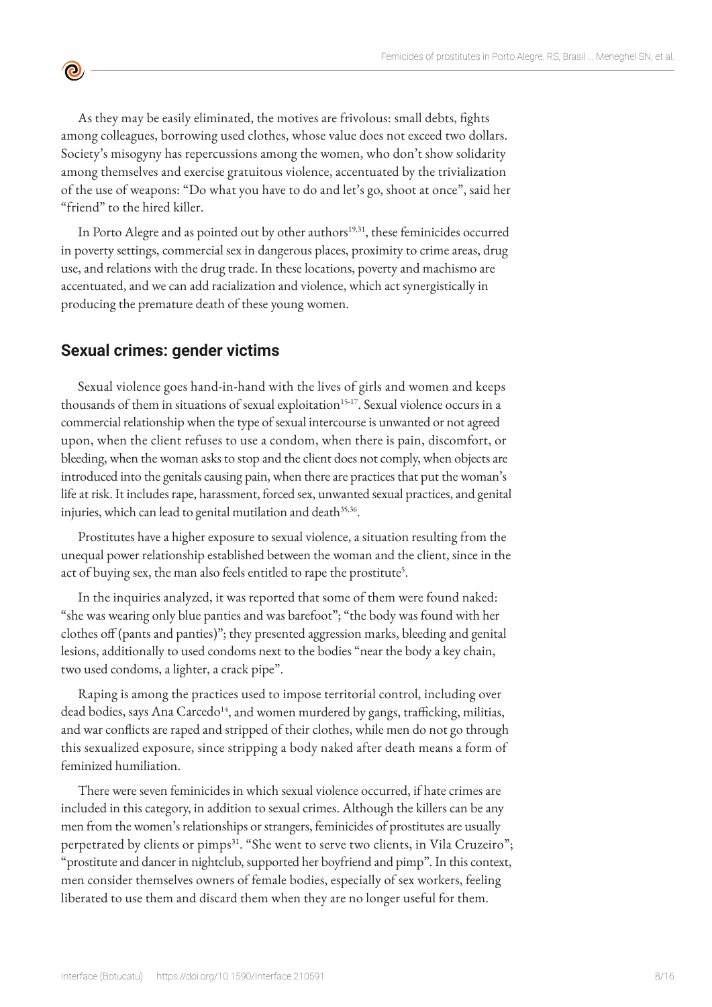As they may be easily eliminated, the motives are frivolous: small debts, fights among colleagues, borrowing used clothes, whose value does not exceed two dollars. Society's misogyny has repercussions among the women, who don't show solidarity among themselves and exercise gratuitous violence, accentuated by the trivialization of the use of weapons: "Do what you have to do and let's go, shoot at once", said her "friend" to the hired killer.

In Porto Alegre and as pointed out by other authors<sup>19,31</sup>, these feminicides occurred in poverty settings, commercial sex in dangerous places, proximity to crime areas, drug use, and relations with the drug trade. In these locations, poverty and machismo are accentuated, and we can add racialization and violence, which act synergistically in producing the premature death of these young women.

# **Sexual crimes: gender victims**

 $\bullet$ 

Sexual violence goes hand-in-hand with the lives of girls and women and keeps thousands of them in situations of sexual exploitation<sup>15-17</sup>. Sexual violence occurs in a commercial relationship when the type of sexual intercourse is unwanted or not agreed upon, when the client refuses to use a condom, when there is pain, discomfort, or bleeding, when the woman asks to stop and the client does not comply, when objects are introduced into the genitals causing pain, when there are practices that put the woman's life at risk. It includes rape, harassment, forced sex, unwanted sexual practices, and genital injuries, which can lead to genital mutilation and death<sup>35,36</sup>.

Prostitutes have a higher exposure to sexual violence, a situation resulting from the unequal power relationship established between the woman and the client, since in the act of buying sex, the man also feels entitled to rape the prostitute<sup>5</sup>.

In the inquiries analyzed, it was reported that some of them were found naked: "she was wearing only blue panties and was barefoot"; "the body was found with her clothes off (pants and panties)"; they presented aggression marks, bleeding and genital lesions, additionally to used condoms next to the bodies "near the body a key chain, two used condoms, a lighter, a crack pipe".

Raping is among the practices used to impose territorial control, including over dead bodies, says Ana Carcedo<sup>14</sup>, and women murdered by gangs, trafficking, militias, and war conflicts are raped and stripped of their clothes, while men do not go through this sexualized exposure, since stripping a body naked after death means a form of feminized humiliation.

There were seven feminicides in which sexual violence occurred, if hate crimes are included in this category, in addition to sexual crimes. Although the killers can be any men from the women's relationships or strangers, feminicides of prostitutes are usually perpetrated by clients or pimps<sup>31</sup>. "She went to serve two clients, in Vila Cruzeiro"; "prostitute and dancer in nightclub, supported her boyfriend and pimp". In this context, men consider themselves owners of female bodies, especially of sex workers, feeling liberated to use them and discard them when they are no longer useful for them.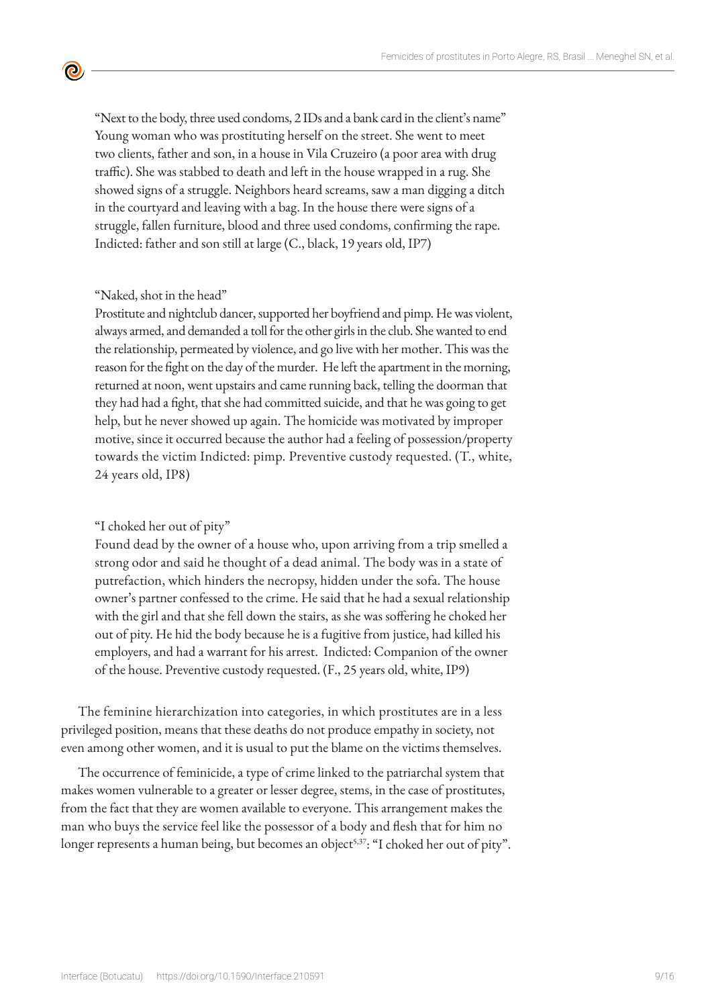"Next to the body, three used condoms, 2 IDs and a bank card in the client's name" Young woman who was prostituting herself on the street. She went to meet two clients, father and son, in a house in Vila Cruzeiro (a poor area with drug traffic). She was stabbed to death and left in the house wrapped in a rug. She showed signs of a struggle. Neighbors heard screams, saw a man digging a ditch in the courtyard and leaving with a bag. In the house there were signs of a struggle, fallen furniture, blood and three used condoms, confirming the rape. Indicted: father and son still at large (C., black, 19 years old, IP7)

#### "Naked, shot in the head"

 $\bullet$ 

Prostitute and nightclub dancer, supported her boyfriend and pimp. He was violent, always armed, and demanded a toll for the other girls in the club. She wanted to end the relationship, permeated by violence, and go live with her mother. This was the reason for the fight on the day of the murder. He left the apartment in the morning, returned at noon, went upstairs and came running back, telling the doorman that they had had a fight, that she had committed suicide, and that he was going to get help, but he never showed up again. The homicide was motivated by improper motive, since it occurred because the author had a feeling of possession/property towards the victim Indicted: pimp. Preventive custody requested. (T., white, 24 years old, IP8)

#### "I choked her out of pity"

Found dead by the owner of a house who, upon arriving from a trip smelled a strong odor and said he thought of a dead animal. The body was in a state of putrefaction, which hinders the necropsy, hidden under the sofa. The house owner's partner confessed to the crime. He said that he had a sexual relationship with the girl and that she fell down the stairs, as she was soffering he choked her out of pity. He hid the body because he is a fugitive from justice, had killed his employers, and had a warrant for his arrest. Indicted: Companion of the owner of the house. Preventive custody requested. (F., 25 years old, white, IP9)

The feminine hierarchization into categories, in which prostitutes are in a less privileged position, means that these deaths do not produce empathy in society, not even among other women, and it is usual to put the blame on the victims themselves.

The occurrence of feminicide, a type of crime linked to the patriarchal system that makes women vulnerable to a greater or lesser degree, stems, in the case of prostitutes, from the fact that they are women available to everyone. This arrangement makes the man who buys the service feel like the possessor of a body and flesh that for him no longer represents a human being, but becomes an object<sup>5,37</sup>: "I choked her out of pity".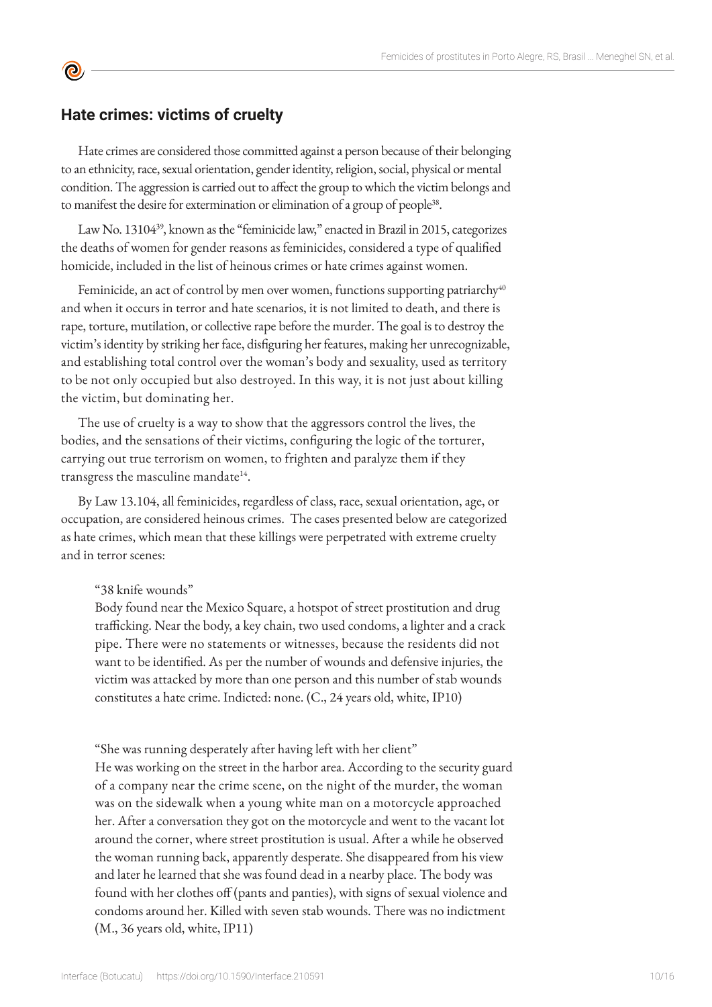# **Hate crimes: victims of cruelty**

**©** 

Hate crimes are considered those committed against a person because of their belonging to an ethnicity, race, sexual orientation, gender identity, religion, social, physical or mental condition. The aggression is carried out to affect the group to which the victim belongs and to manifest the desire for extermination or elimination of a group of people<sup>38</sup>.

Law No. 13104<sup>39</sup>, known as the "feminicide law," enacted in Brazil in 2015, categorizes the deaths of women for gender reasons as feminicides, considered a type of qualified homicide, included in the list of heinous crimes or hate crimes against women.

Feminicide, an act of control by men over women, functions supporting patriarchy $40$ and when it occurs in terror and hate scenarios, it is not limited to death, and there is rape, torture, mutilation, or collective rape before the murder. The goal is to destroy the victim's identity by striking her face, disfiguring her features, making her unrecognizable, and establishing total control over the woman's body and sexuality, used as territory to be not only occupied but also destroyed. In this way, it is not just about killing the victim, but dominating her.

The use of cruelty is a way to show that the aggressors control the lives, the bodies, and the sensations of their victims, configuring the logic of the torturer, carrying out true terrorism on women, to frighten and paralyze them if they transgress the masculine mandate<sup>14</sup>.

By Law 13.104, all feminicides, regardless of class, race, sexual orientation, age, or occupation, are considered heinous crimes. The cases presented below are categorized as hate crimes, which mean that these killings were perpetrated with extreme cruelty and in terror scenes:

## "38 knife wounds"

Body found near the Mexico Square, a hotspot of street prostitution and drug trafficking. Near the body, a key chain, two used condoms, a lighter and a crack pipe. There were no statements or witnesses, because the residents did not want to be identified. As per the number of wounds and defensive injuries, the victim was attacked by more than one person and this number of stab wounds constitutes a hate crime. Indicted: none. (C., 24 years old, white, IP10)

"She was running desperately after having left with her client"

He was working on the street in the harbor area. According to the security guard of a company near the crime scene, on the night of the murder, the woman was on the sidewalk when a young white man on a motorcycle approached her. After a conversation they got on the motorcycle and went to the vacant lot around the corner, where street prostitution is usual. After a while he observed the woman running back, apparently desperate. She disappeared from his view and later he learned that she was found dead in a nearby place. The body was found with her clothes off (pants and panties), with signs of sexual violence and condoms around her. Killed with seven stab wounds. There was no indictment (M., 36 years old, white, IP11)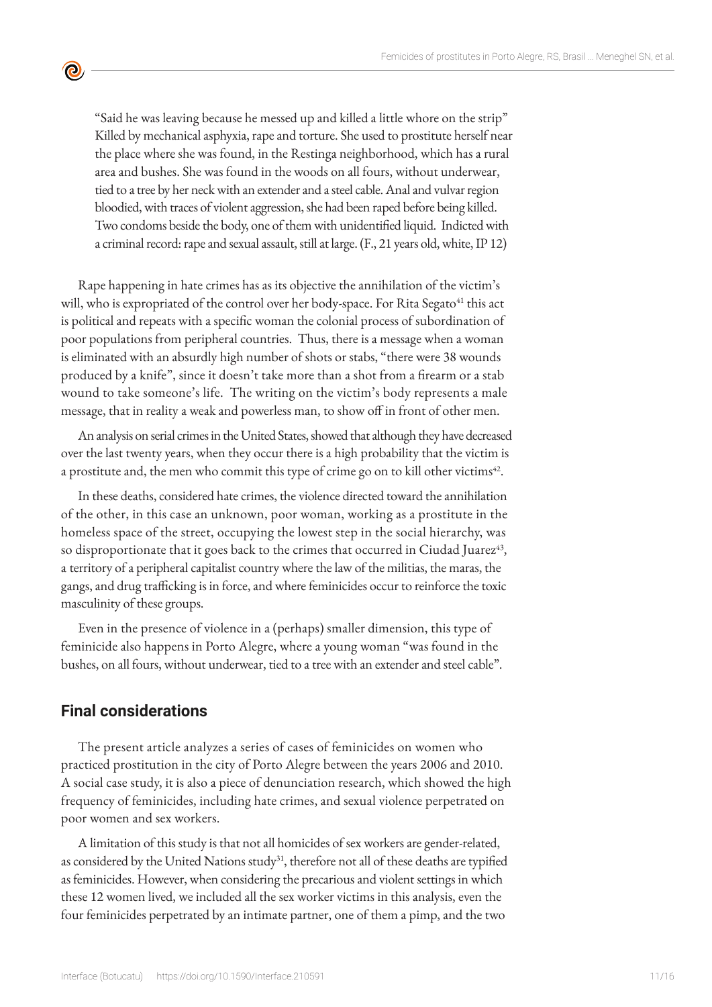"Said he was leaving because he messed up and killed a little whore on the strip" Killed by mechanical asphyxia, rape and torture. She used to prostitute herself near the place where she was found, in the Restinga neighborhood, which has a rural area and bushes. She was found in the woods on all fours, without underwear, tied to a tree by her neck with an extender and a steel cable. Anal and vulvar region bloodied, with traces of violent aggression, she had been raped before being killed. Two condoms beside the body, one of them with unidentified liquid. Indicted with a criminal record: rape and sexual assault, still at large. (F., 21 years old, white, IP 12)

Rape happening in hate crimes has as its objective the annihilation of the victim's will, who is expropriated of the control over her body-space. For Rita Segato<sup>41</sup> this act is political and repeats with a specific woman the colonial process of subordination of poor populations from peripheral countries. Thus, there is a message when a woman is eliminated with an absurdly high number of shots or stabs, "there were 38 wounds produced by a knife", since it doesn't take more than a shot from a firearm or a stab wound to take someone's life. The writing on the victim's body represents a male message, that in reality a weak and powerless man, to show off in front of other men.

An analysis on serial crimes in the United States, showed that although they have decreased over the last twenty years, when they occur there is a high probability that the victim is a prostitute and, the men who commit this type of crime go on to kill other victims $42$ .

In these deaths, considered hate crimes, the violence directed toward the annihilation of the other, in this case an unknown, poor woman, working as a prostitute in the homeless space of the street, occupying the lowest step in the social hierarchy, was so disproportionate that it goes back to the crimes that occurred in Ciudad Juarez<sup>43</sup>, a territory of a peripheral capitalist country where the law of the militias, the maras, the gangs, and drug trafficking is in force, and where feminicides occur to reinforce the toxic masculinity of these groups.

Even in the presence of violence in a (perhaps) smaller dimension, this type of feminicide also happens in Porto Alegre, where a young woman "was found in the bushes, on all fours, without underwear, tied to a tree with an extender and steel cable".

# **Final considerations**

 $\bullet$ 

The present article analyzes a series of cases of feminicides on women who practiced prostitution in the city of Porto Alegre between the years 2006 and 2010. A social case study, it is also a piece of denunciation research, which showed the high frequency of feminicides, including hate crimes, and sexual violence perpetrated on poor women and sex workers.

A limitation of this study is that not all homicides of sex workers are gender-related, as considered by the United Nations study<sup>31</sup>, therefore not all of these deaths are typified as feminicides. However, when considering the precarious and violent settings in which these 12 women lived, we included all the sex worker victims in this analysis, even the four feminicides perpetrated by an intimate partner, one of them a pimp, and the two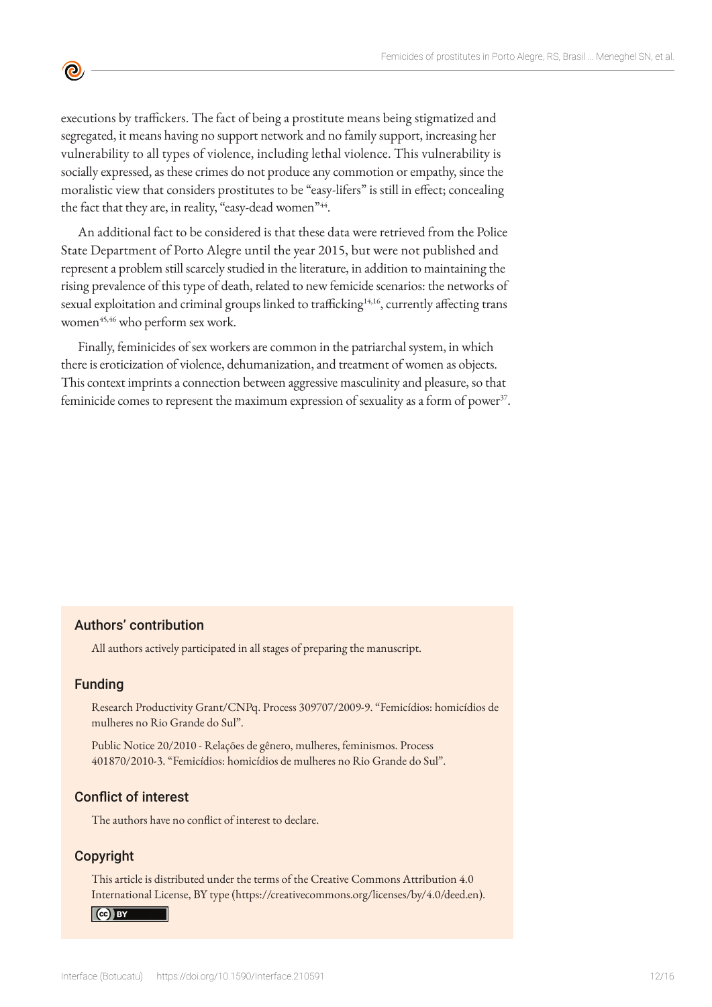executions by traffickers. The fact of being a prostitute means being stigmatized and segregated, it means having no support network and no family support, increasing her vulnerability to all types of violence, including lethal violence. This vulnerability is socially expressed, as these crimes do not produce any commotion or empathy, since the moralistic view that considers prostitutes to be "easy-lifers" is still in effect; concealing the fact that they are, in reality, "easy-dead women"<sup>44</sup>.

An additional fact to be considered is that these data were retrieved from the Police State Department of Porto Alegre until the year 2015, but were not published and represent a problem still scarcely studied in the literature, in addition to maintaining the rising prevalence of this type of death, related to new femicide scenarios: the networks of sexual exploitation and criminal groups linked to trafficking<sup>14,16</sup>, currently affecting trans women<sup>45,46</sup> who perform sex work.

Finally, feminicides of sex workers are common in the patriarchal system, in which there is eroticization of violence, dehumanization, and treatment of women as objects. This context imprints a connection between aggressive masculinity and pleasure, so that feminicide comes to represent the maximum expression of sexuality as a form of power $37$ .

## Authors' contribution

All authors actively participated in all stages of preparing the manuscript.

#### Funding

**©** 

Research Productivity Grant/CNPq. Process 309707/2009-9. "Femicídios: homicídios de mulheres no Rio Grande do Sul".

Public Notice 20/2010 - Relações de gênero, mulheres, feminismos. Process 401870/2010-3. "Femicídios: homicídios de mulheres no Rio Grande do Sul".

#### Conflict of interest

The authors have no conflict of interest to declare.

## Copyright

This article is distributed under the terms of the Creative Commons Attribution 4.0 International License, BY type (https://creativecommons.org/licenses/by/4.0/deed.en).

#### $\left($ cc) BY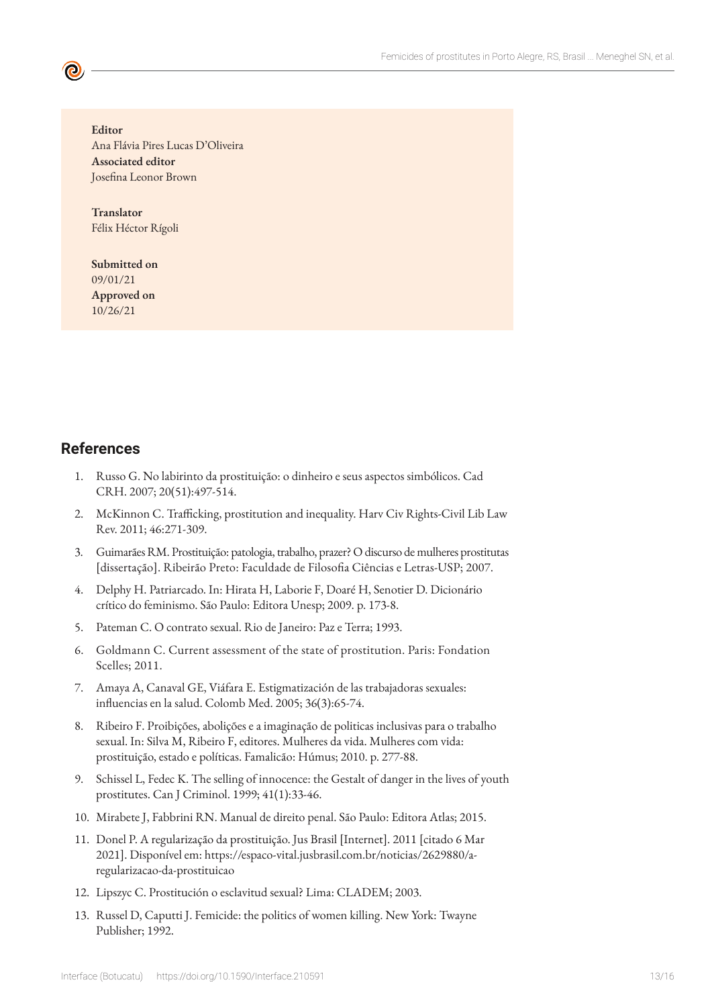**Editor** Ana Flávia Pires Lucas D'Oliveira **Associated editor** Josefina Leonor Brown

**Translator** Félix Héctor Rígoli

**Submitted on** 09/01/21 **Approved on** 10/26/21

## **References**

- 1. Russo G. No labirinto da prostituição: o dinheiro e seus aspectos simbólicos. Cad CRH. 2007; 20(51):497-514.
- 2. McKinnon C. Trafficking, prostitution and inequality. Harv Civ Rights-Civil Lib Law Rev. 2011; 46:271-309.
- 3. Guimarães RM. Prostituição: patologia, trabalho, prazer? O discurso de mulheres prostitutas [dissertação]. Ribeirão Preto: Faculdade de Filosofia Ciências e Letras-USP; 2007.
- 4. Delphy H. Patriarcado. In: Hirata H, Laborie F, Doaré H, Senotier D. Dicionário crítico do feminismo. São Paulo: Editora Unesp; 2009. p. 173-8.
- 5. Pateman C. O contrato sexual. Rio de Janeiro: Paz e Terra; 1993.
- 6. Goldmann C. Current assessment of the state of prostitution. Paris: Fondation Scelles; 2011.
- 7. Amaya A, Canaval GE, Viáfara E. Estigmatización de las trabajadoras sexuales: influencias en la salud. Colomb Med. 2005; 36(3):65-74.
- 8. Ribeiro F. Proibições, abolições e a imaginação de politicas inclusivas para o trabalho sexual. In: Silva M, Ribeiro F, editores. Mulheres da vida. Mulheres com vida: prostituição, estado e políticas. Famalicão: Húmus; 2010. p. 277-88.
- 9. Schissel L, Fedec K. The selling of innocence: the Gestalt of danger in the lives of youth prostitutes. Can J Criminol. 1999; 41(1):33-46.
- 10. Mirabete J, Fabbrini RN. Manual de direito penal. São Paulo: Editora Atlas; 2015.
- 11. Donel P. A regularização da prostituição. Jus Brasil [Internet]. 2011 [citado 6 Mar 2021]. Disponível em: https://espaco-vital.jusbrasil.com.br/noticias/2629880/aregularizacao-da-prostituicao
- 12. Lipszyc C. Prostitución o esclavitud sexual? Lima: CLADEM; 2003.
- 13. Russel D, Caputti J. Femicide: the politics of women killing. New York: Twayne Publisher; 1992.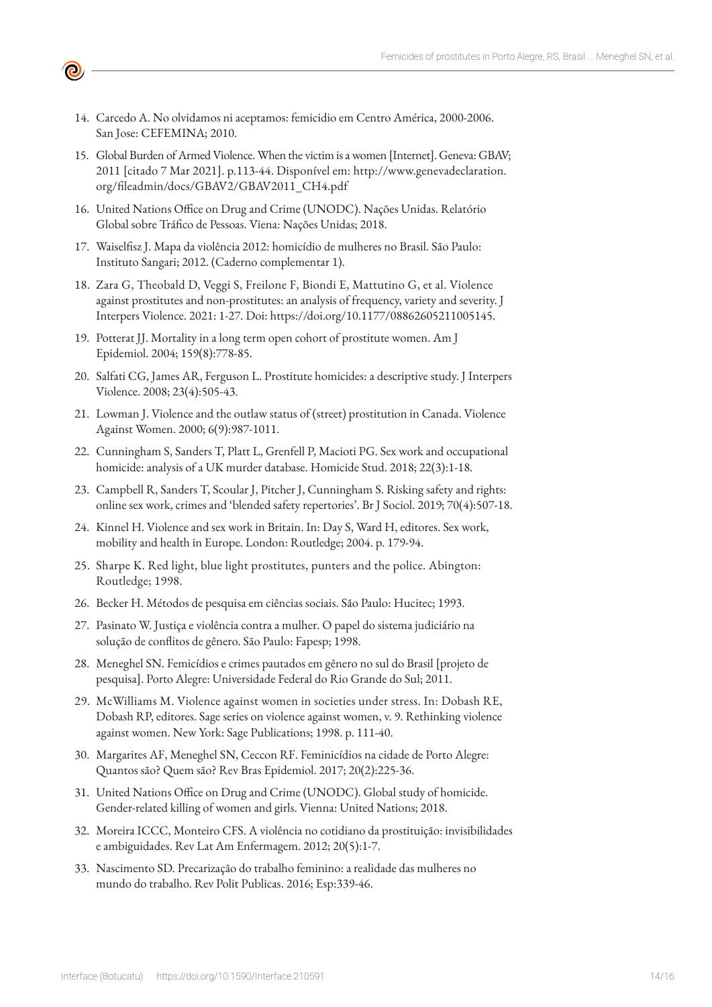14. Carcedo A. No olvidamos ni aceptamos: femicidio em Centro América, 2000-2006. San Jose: CEFEMINA; 2010.

ල

- 15. Global Burden of Armed Violence. When the victim is a women [Internet]. Geneva: GBAV; 2011 [citado 7 Mar 2021]. p.113-44. Disponível em: http://www.genevadeclaration. org/fileadmin/docs/GBAV2/GBAV2011\_CH4.pdf
- 16. United Nations Office on Drug and Crime (UNODC). Nações Unidas. Relatório Global sobre Tráfico de Pessoas. Viena: Nações Unidas; 2018.
- 17. Waiselfisz J. Mapa da violência 2012: homicídio de mulheres no Brasil. São Paulo: Instituto Sangari; 2012. (Caderno complementar 1).
- 18. Zara G, Theobald D, Veggi S, Freilone F, Biondi E, Mattutino G, et al. Violence against prostitutes and non-prostitutes: an analysis of frequency, variety and severity. J Interpers Violence. 2021: 1-27. Doi: https://doi.org/10.1177/08862605211005145.
- 19. Potterat JJ. Mortality in a long term open cohort of prostitute women. Am J Epidemiol. 2004; 159(8):778-85.
- 20. Salfati CG, James AR, Ferguson L. Prostitute homicides: a descriptive study. J Interpers Violence. 2008; 23(4):505-43.
- 21. Lowman J. Violence and the outlaw status of (street) prostitution in Canada. Violence Against Women. 2000; 6(9):987-1011.
- 22. Cunningham S, Sanders T, Platt L, Grenfell P, Macioti PG. Sex work and occupational homicide: analysis of a UK murder database. Homicide Stud. 2018; 22(3):1-18.
- 23. Campbell R, Sanders T, Scoular J, Pitcher J, Cunningham S. Risking safety and rights: online sex work, crimes and 'blended safety repertories'. Br J Sociol. 2019; 70(4):507-18.
- 24. Kinnel H. Violence and sex work in Britain. In: Day S, Ward H, editores. Sex work, mobility and health in Europe. London: Routledge; 2004. p. 179-94.
- 25. Sharpe K. Red light, blue light prostitutes, punters and the police. Abington: Routledge; 1998.
- 26. Becker H. Métodos de pesquisa em ciências sociais. São Paulo: Hucitec; 1993.
- 27. Pasinato W. Justiça e violência contra a mulher. O papel do sistema judiciário na solução de conflitos de gênero. São Paulo: Fapesp; 1998.
- 28. Meneghel SN. Femicídios e crimes pautados em gênero no sul do Brasil [projeto de pesquisa]. Porto Alegre: Universidade Federal do Rio Grande do Sul; 2011.
- 29. McWilliams M. Violence against women in societies under stress. In: Dobash RE, Dobash RP, editores. Sage series on violence against women, v. 9. Rethinking violence against women. New York: Sage Publications; 1998. p. 111-40.
- 30. Margarites AF, Meneghel SN, Ceccon RF. Feminicídios na cidade de Porto Alegre: Quantos são? Quem são? Rev Bras Epidemiol. 2017; 20(2):225-36.
- 31. United Nations Office on Drug and Crime (UNODC). Global study of homicide. Gender-related killing of women and girls. Vienna: United Nations; 2018.
- 32. Moreira ICCC, Monteiro CFS. A violência no cotidiano da prostituição: invisibilidades e ambiguidades. Rev Lat Am Enfermagem. 2012; 20(5):1-7.
- 33. Nascimento SD. Precarização do trabalho feminino: a realidade das mulheres no mundo do trabalho. Rev Polit Publicas. 2016; Esp:339-46.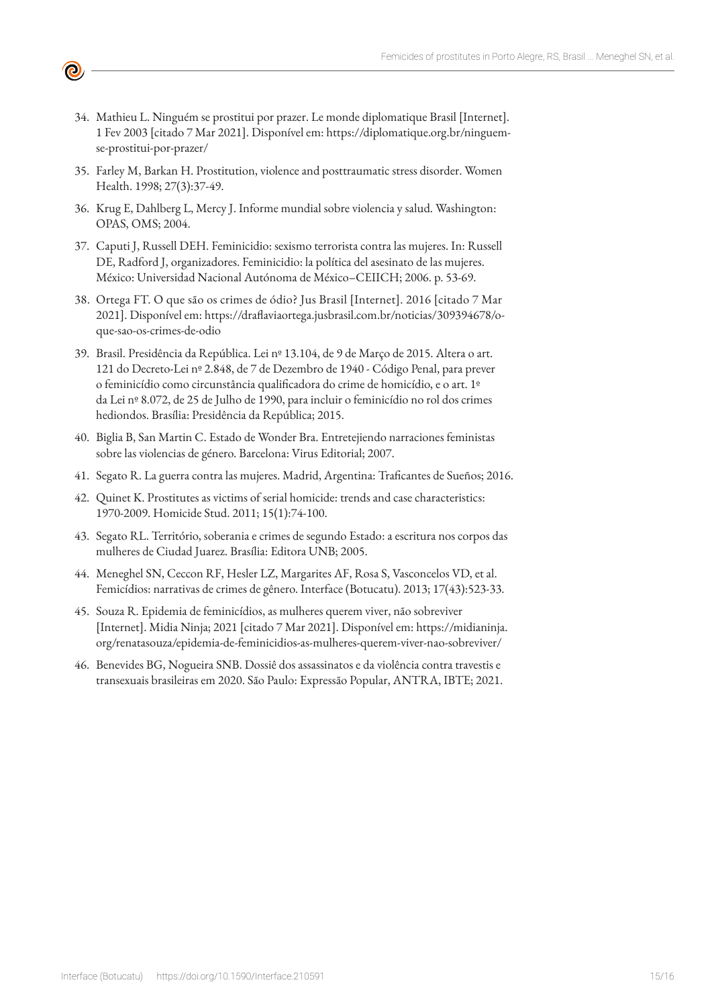34. Mathieu L. Ninguém se prostitui por prazer. Le monde diplomatique Brasil [Internet]. 1 Fev 2003 [citado 7 Mar 2021]. Disponível em: https://diplomatique.org.br/ninguemse-prostitui-por-prazer/

(Q)

- 35. Farley M, Barkan H. Prostitution, violence and posttraumatic stress disorder. Women Health. 1998; 27(3):37-49.
- 36. Krug E, Dahlberg L, Mercy J. Informe mundial sobre violencia y salud. Washington: OPAS, OMS; 2004.
- 37. Caputi J, Russell DEH. Feminicidio: sexismo terrorista contra las mujeres. In: Russell DE, Radford J, organizadores. Feminicidio: la política del asesinato de las mujeres. México: Universidad Nacional Autónoma de México–CEIICH; 2006. p. 53-69.
- 38. Ortega FT. O que são os crimes de ódio? Jus Brasil [Internet]. 2016 [citado 7 Mar 2021]. Disponível em: https://draflaviaortega.jusbrasil.com.br/noticias/309394678/oque-sao-os-crimes-de-odio
- 39. Brasil. Presidência da República. Lei nº 13.104, de 9 de Março de 2015. Altera o art. 121 do Decreto-Lei nº 2.848, de 7 de Dezembro de 1940 - Código Penal, para prever o feminicídio como circunstância qualificadora do crime de homicídio, e o art. 1º da Lei nº 8.072, de 25 de Julho de 1990, para incluir o feminicídio no rol dos crimes hediondos. Brasília: Presidência da República; 2015.
- 40. Biglia B, San Martin C. Estado de Wonder Bra. Entretejiendo narraciones feministas sobre las violencias de género. Barcelona: Virus Editorial; 2007.
- 41. Segato R. La guerra contra las mujeres. Madrid, Argentina: Traficantes de Sueños; 2016.
- 42. Quinet K. Prostitutes as victims of serial homicide: trends and case characteristics: 1970-2009. Homicide Stud. 2011; 15(1):74-100.
- 43. Segato RL. Território, soberania e crimes de segundo Estado: a escritura nos corpos das mulheres de Ciudad Juarez. Brasília: Editora UNB; 2005.
- 44. Meneghel SN, Ceccon RF, Hesler LZ, Margarites AF, Rosa S, Vasconcelos VD, et al. Femicídios: narrativas de crimes de gênero. Interface (Botucatu). 2013; 17(43):523-33.
- 45. Souza R. Epidemia de feminicídios, as mulheres querem viver, não sobreviver [Internet]. Midia Ninja; 2021 [citado 7 Mar 2021]. Disponível em: https://midianinja. org/renatasouza/epidemia-de-feminicidios-as-mulheres-querem-viver-nao-sobreviver/
- 46. Benevides BG, Nogueira SNB. Dossiê dos assassinatos e da violência contra travestis e transexuais brasileiras em 2020. São Paulo: Expressão Popular, ANTRA, IBTE; 2021.